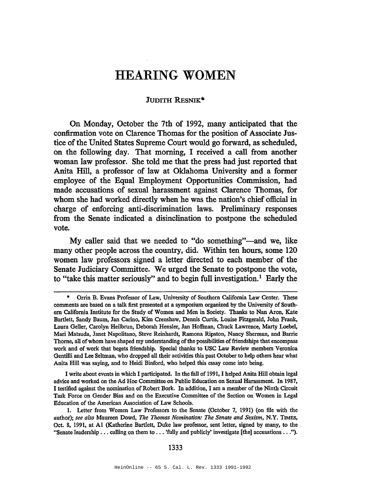## **HEARING WOMEN**

## JUDITH REsNIK\*

On Monday, October the 7th of 1992, many anticipated that the confirmation vote on Clarence Thomas for the position of Associate Justice of the United States Supreme Court would go forward, as scheduled, on the following day. That morning, I received a call from another woman law professor. She told me that the press had just reported that Anita Hill, a professor of law at Oklahoma University and a former employee of the Equal Employment Opportunities Commission, had made accusations of sexual harassment against Clarence Thomas, for whom she had worked directly when he was the nation's chief official in charge of enforcing anti-discrimination laws. Preliminary responses from the Senate indicated a disinclination to postpone the scheduled vote.

My caller said that we needed to "do something"—and we, like many other people across the country, did. Within ten hours, some 120 women law professors signed a letter directed to each member of the Senate Judiciary Committee. We urged the Senate to postpone the vote, to "take this matter seriously" and to begin full investigation.<sup>1</sup> Early the

<sup>•</sup> Orrin B. Evans Professor of Law, University of· Southern California Law Center. These comments are based on a talk first presented at a symposium organized by the University of Southern California Institute for the Study of Women and Men in Society. Thanks to Nan Aron, Kate Bartlett, Sandy Baum, Jan Carino, Kim Crenshaw, Dennis Curtis, Louise Fitzgerald, John Frank, Laura Geller, Carolyn Heilbrun, Deborah Hensler, Jan Hoffman, Chuck Lawrence, Marty Loebel, Marl Matsuda, Janet Napolitano, Steve Reinhardt, Ramona Ripston, Nancy Sherman, and Barrie Thorne, all of whom have shaped my understanding of the possibilities of friendships that encompass work and of work that begets friendship. Special thanks to USC Law Review members Veronica Gentilli and Lee SeItman, who dropped all their activities this past October to help others hear what Anita Hill was saying, and to Heidi Binford, who helped this essay come into being.

I write about events in which I participated. In the fall of 1991, I helped Anita Hill obtain legal advice and worked on the Ad Hoc Committee on Public Education on Sexual Harassment. In 1987, I testified against the nomination ofRobert Bork. In addition, I am a member of the Ninth Circuit Task Force on Gender Bias and on the Executive Committee of the Section on Women in Legal Education of the American Association of Law Schools.

<sup>1.</sup> Letter from Women Law Professors to the Senate (October 7, 1991) (on file with the author); *see also* Maureen Dowd, *The Thomas Nomination: The Senate and Sexism,* N.Y. nMES, Oct. 8, 1991, at Al (Katherine Bartlett, Duke law professor, sent letter, signed by many, to the "Senate leadership ... calling on them to ... 'fully and publicly' investigate [the] accusations  $\dots$ ").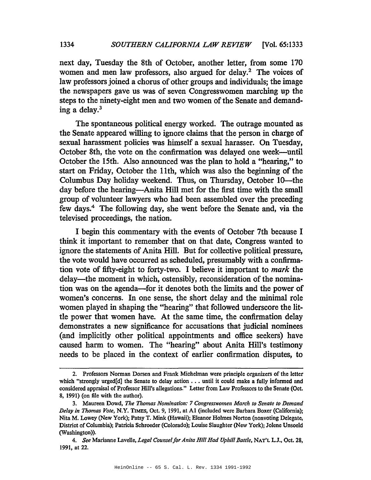next day, Tuesday the 8th of October, another letter, from some 170 women and men law professors, also argued for delay.<sup>2</sup> The voices of law professors joined a chorus of other groups and individuals; the image the newspapers gave us was of seven Congresswomen marching up the steps to the ninety-eight men and two women of the Senate and demanding a delay.3

The spontaneous political energy worked. The outrage mounted as the Senate appeared willing to ignore claims that the person in charge of sexual harassment policies was himself a sexual harasser. On Tuesday, October 8th, the vote on the confirmation was delayed one week-until October the 15th. Also announced was the plan to hold a "hearing," to start on Friday, October the 11th, which was also the beginning of the Columbus Day holiday weekend. Thus, on Thursday, October 10—the day before the hearing-Anita Hill met for the first time with the small group of volunteer lawyers who had been assembled over the preceding few days.4 The following day, she went before the Senate and, via the televised proceedings, the nation.

I begin this commentary with the events of October 7th because I think it important to remember that on that date, Congress wanted to ignore the statements of Anita Hill. But for collective political pressure, the vote would have occurred as scheduled, presumably with a confirmation vote of fifty-eight to forty-two. I believe it important to *mark* the delay—the moment in which, ostensibly, reconsideration of the nomination was on the agenda-for it denotes both the limits and the power of women's concerns. In one sense, the short delay and the minimal role women played in shaping the "hearing" that followed underscore the little power that women have. At the same time, the confirmation delay demonstrates a new significance for accusations that judicial nominees (and implicitly other political appointments and office seekers) have caused harm to women. The "hearing" about Anita Hill's testimony needs to be placed in the context of earlier confirmation disputes, to

<sup>2.</sup> Professors Nonnan Dorsen and Frank Michelman were principle organizers of the letter which "strongly urged[d] the Senate to delay action  $\ldots$  until it could make a fully informed and considered appraisal of Professor Hill's allegations." Letter from Law Professors to the Senate (Oct. 8, 1991) (on file with the author).

<sup>3.</sup> Maureen Dowd, *The Thomas Nomination:* 7 *Congresswomen March to Senate to Demand Delay in Thomas Vote,* N.Y. TIMES, Oct. 9, 1991, at Al (included were Barbara Boxer (California); Nita M. Lowey (New York); Patsy T. Mink (Hawaii); Eleanor Holmes Norton (nonvoting Delegate, District of Columbia); Patricia Schroeder (Colorado); Louise Slaughter (New York); Jolene Unsoeld (Washington)).

*<sup>4.</sup> See* Marianne Lavelle, *Legal Counsel/or Anita Hill Had Uphill Battle,* NAT'L L.J., Oct. 28, 1991, at 22.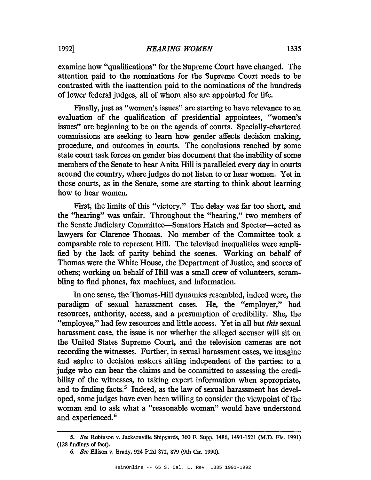examine how "qualifications" for the Supreme Court have changed. The attention paid to the nominations for the Supreme Court needs to be contrasted with the inattention paid to the nominations of the hundreds of lower federal judges, all of whom also are appointed for life.

Finally, just as "women's issues" are starting to have relevance to an evaluation of the qualification of presidential appointees, "women's issues" are beginning to be on the agenda of courts. Specially-chartered commissions are seeking to learn how gender affects decision making, procedure, and outcomes in courts. The conclusions reached by some state court task forces on gender bias document that the inability of some members of the Senate to hear Anita Hill is paralleled every day in courts around the country, where judges do not listen to or hear women. Yet in those courts, as in the Senate, some are starting to think about learning how to hear women.

First, the limits of this "victory." The delay was far too short, and the "hearing" was unfair. Throughout the "hearing," two members of the Senate Judiciary Committee-Senators Hatch and Specter-acted as lawyers for Clarence Thomas. No member of the Committee took a comparable role to represent Hill. The televised inequalities were amplified by the lack of parity behind the scenes. Working on behalf of Thomas were the White House, the Department of Justice, and scores of others; working on behalf of Hill was a small crew of volunteers, scrambling to find phones, fax machines, and information.

In one sense, the Thomas-Hill dynamics resembled, indeed were, the paradigm of sexual harassment cases. He, the "employer," had resources, authority, access, and a presumption of credibility. She, the "employee," had few resources and little access. Yet in all but *this* sexual harassment case, the issue is not whether the alleged accuser will sit on the United States Supreme Court, and the television cameras are not recording the witnesses. Further, in sexual harassment cases, we imagine and aspire to decision makers sitting independent of the parties: to a judge who can hear the claims and be committed to assessing the credibility of the witnesses, to taking expert information when appropriate, and to finding facts.<sup>5</sup> Indeed, as the law of sexual harassment has developed, some judges have even been willing to consider the viewpoint of the woman and to ask what a "reasonable woman" would have understood and experienced.<sup>6</sup>

*<sup>5.</sup> See* Robinson v. Jacksonville Shipyards, 760 F. Supp. 1486, 1491-1521 (M.D. Fla. 1991) (128 findings of fact).

*<sup>6.</sup> See* Ellison v. Brady, 924 F.2d 872, 879 (9th Cir. 1990).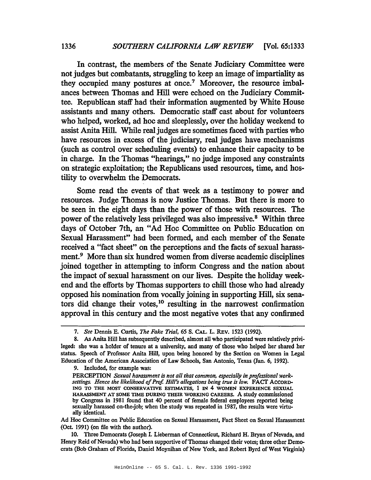In contrast, the members of the Senate Judiciary Committee were not judges but combatants, struggling to keep an image of impartiality as they occupied many postures at once.<sup>7</sup> Moreover, the resource imbalances between Thomas and Hill were echoed on the Judiciary Committee. Republican staff had their information augmented by White House assistants and many others. Democratic staff cast about for volunteers who helped, worked, ad hoc and sleeplessly, over the holiday weekend to assist Anita Hill. While real judges are sometimes faced with parties who have resources in excess of the judiciary, real judges have mechanisms (such as control over scheduling events) to enhance their capacity to be in charge. In the Thomas "hearings," no judge imposed any constraints on strategic exploitation; the Republicans used resources, time, and hostility to overwhelm the Democrats.

Some read the events of that week as a testimony to power and resources. Judge Thomas is now Justice Thomas. But there is more to be seen in the eight days than the power of those with resources. The power of the relatively less privileged was also impressive.<sup>8</sup> Within three days of October 7th, an "Ad Hoc Committee on Public Education on Sexual Harassment" had been formed, and each member of the Senate received a "fact sheet" on the perceptions and the facts of sexual harassment.<sup>9</sup> More than six hundred women from diverse academic disciplines joined together in attempting to inform Congress and the nation about the impact of sexual harassment on our lives. Despite the holiday weekend and the efforts by Thomas supporters to chill those who had already opposed his nomination from vocally joining in supporting Hill, six senators did change their votes,<sup>10</sup> resulting in the narrowest confirmation approval in this century and the most negative votes that any confirmed

9. Included, for example was:

Ad Hoc Committee on Public Education on Sexual Harassment, Fact Sheet on Sexual Harassment (Oct. 1991) (on file with the author).

10. Three Democrats (Joseph I. Lieberman of Connecticut, Richard H. Bryan of Nevada, and Henry Reid of Nevada) who had been supportive of Thomas changed their votes; three other Democrats (Bob Graham of Florida, Daniel Moynihan of New York, and Robert Byrd of West Virginia)

*<sup>7.</sup> See* Dennis E. Curtis, *The Fake Trial,* 65 S. CAL. L. REv. 1523 (1992).

<sup>8.</sup> As Anita Hill has subsequently described, almost all who participated were relatively privileged: she was a holder of tenure at a university, and many of those who helped her shared her status. Speech of Professor Anita Hill, upon being honored by the Section on Women in Legal Education of the American Association of Law Schools, San Antonio, Texas (Jan. 6, 1992).

PERCEPTION *Sexual harassment is not a// that common, especially in professional worksettings. Hence the likelihood ofProf. Hi//'s a//egations being true is low.* FACT ACCORD-ING TO THE MOST CONSERVATIVE ESTIMATES, 1 IN 4 WOMEN EXPERIENCE SEXUAL HARASSMENT AT SOME TIME DURING THEIR WORKING CAREERS. A study commissioned by Congress in 1981 found that 40 percent of female federal employees reported being sexually harassed on-the-job; when the study was repeated in 1987, the results were virtually identical.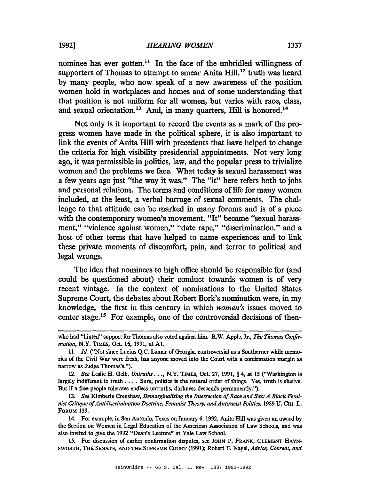nominee has ever gotten.<sup>11</sup> In the face of the unbridled willingness of supporters of Thomas to attempt to smear Anita Hill,<sup>12</sup> truth was heard by many people, who now speak of a new awareness of the position women hold in workplaces and homes and of some understanding that that position is not uniform for all women, but varies with race, class, and sexual orientation.<sup>13</sup> And, in many quarters, Hill is honored.<sup>14</sup>

Not only is it important to record the events as a mark of the progress women have made in the political sphere, it is also important to link the events of Anita Hill with precedents that have helped to change the criteria for high visibility presidential appointments. Not very long ago, it was permissible in politics, law, and the popular press to trivialize women and the problems we face. What today is sexual harassment was a few years ago just "the way it was." The "it" here refers both to jobs and personal relations. The terms and conditions of life for many women included, at the least, a verbal barrage of sexual comments. The challenge to that attitude can be marked in many forums and is of a piece with the contemporary women's movement. "It" became "sexual harassment," "violence against women," "date rape," "discrimination," and a host of other terms that have helped to name experiences and to link these private moments of discomfort, pain, and terror to political and legal wrongs.

The idea that nominees to high office should be responsible for (and could be questioned about) their conduct towards women is of very recent vintage. In the context of nominations to the United States Supreme Court, the debates about Robert Bork's nomination were, in my knowledge, the first in this century in which *women's* issues moved to center stage.15 For example, one of the controversial decisions of then-

IS. For discussion of earlier confirmation disputes, see JOHN P. FRANK, CLEMENT HAYN-SWORTH, THE SENATE, AND THE SUPREME CoURT (1991); Robert F. Nagel, *Advice, Consent, and*

who had "hinted" support for Thomas also voted against him. R.W. Apple, Jr., *The Thomas Confirmation,* N.Y. TIMES, Oct. 16, 1991, at AI.

<sup>11.</sup> *Id.* ("Not since Lucius Q.C. Lamar of Georgia, controversial as a Southerner while memories of the Civil War were fresh, has anyone moved into the Court with a confirmation margin as narrow as Judge Thomas's.").

*<sup>12.</sup> See* Leslie H. Gelb, *Untruths .* ••, N.Y. TiMES, Oct. 27, 1991, § 4, at IS ("Washington is largely indifferent to truth  $\dots$ . Sure, politics is the natural order of things. Yes, truth is elusive. But if a free people tolerates endless untruths, darkness descends permanently.").

*<sup>13.</sup> See* Kimberle Crenshaw, *Demarginalizing the Intersection ofRace and Sex: A Black Feminist Critique ofAntidiscrimination Doctrine. Feminist Theory, and Antiracist Politics,* 1989 U. CHI. L. FORUM 139.

<sup>14.</sup> For example, in San Antonio, Texas on January 6, 1992, Anita Hill was given an award by the Section on Women in Legal Education of the American Association of Law Schools, and was also invited to give the 1992 "Dean's Lecture" at Yale Law School.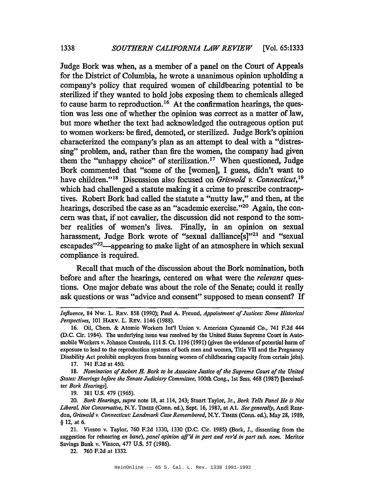Judge Bork was when, as a member of a panel on the Court of Appeals for the District of Columbia, he wrote a unanimous opinion upholding a company's policy that required women of childbearing potential to be sterilized if they wanted to hold jobs exposing them to chemicals alleged to cause harm to reproduction.16 At the confirmation hearings, the question was less one of whether the opinion was correct as a matter of law, but more whether the text had acknowledged the outrageous option put to women workers: be fired, demoted, or sterilized. Judge Bork's opinion characterized the company's plan as an attempt to deal with a "distressing" problem, and, rather than fire the women, the company had given them the "unhappy choice" of sterilization.<sup>17</sup> When questioned, Judge Bork commented that "some of the [women], I guess, didn't want to have children."<sup>18</sup> Discussion also focused on *Griswold v. Connecticut*,<sup>19</sup> which had challenged a statute making it a crime to prescribe contraceptives. Robert Bork had called the statute a "nutty law," and then, at the hearings, described the case as an "academic exercise."<sup>20</sup> Again, the concern was that, if not cavalier, the discussion did not respond to the somber realities of women's lives. Finally, in an opinion on sexual harassment, Judge Bork wrote of "sexual dalliance[s]"<sup>21</sup> and "sexual escapades"22-appearing to make light of an atmosphere in which sexual compliance is required.

Recall that much of the discussion about the Bork nomination, both before and after the hearings, centered on what were the *relevant* questions. One major debate was about the role of the Senate; could it really ask questions or was "advice and consent" supposed to mean consent? If

17. 741 F.2d at 450.

*18. Nomination ofRobert* H. *Bark to be Associate Justice ofthe Supreme Court ofthe United States: Hearings before the Senate Judiciary Committee,* 100th Cong., 1st Sess. 468 (1987) [hereinafter *Bark Hearings].*

19. 381 U.S. 479 (1965).

*Influence,* 84 Nw. L. REv. 858 (1990); Paul A. Freund, *Appointment ofJustices: Some Historical Perspectives,* 101 HARV. L. REv. 1146 (1988).

<sup>16.</sup> Oil, Chem. & Atomic Workers Int'l Union v. American Cyanamid Co., 741 F.2d 444 (D.C. Cir. 1984). The underlying issue was resolved by the United States Supreme Court in Automobile Workers v. Johnson Controls, III S. Ct. <sup>1196</sup> (1991) (given the evidence of potential harm of exposure to lead to the reproduction systems of both men and women, Title VII and the Pregnancy Disability Act prohibit employers from banning women of childbearing capacity from certain jobs).

*<sup>20.</sup> Bark Hearings, supra* note 18, at 114, 243; Stuart Taylor, Jr., *Bark Tells Panel He is Not Liberal. Not Conservative,* N.Y. TIMES (Conn. ed.), Sept. 16, 1987, at AI. *See generally,* Andi Reardon, *Griswold v. Connecticut: Landmark Case Remembered,* N.Y. TIMES (Conn. ed.), May 28, 1989, § 12, at 6.

<sup>21.</sup> Vinson v. Taylor, 760 F.2d 1330, 1330 (D.C. Cir. 1985) (Bork, J., dissenting from the suggestion for rehearing *en bane), panel opinion aff'd in part and rev'd ill part sub. nom.* Meritor Savings Bank v. Vinson, 477 U.S. 57 (1986).

<sup>22.</sup> 760 F.2d at 1332.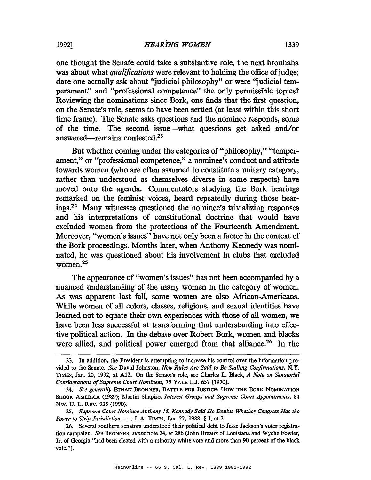one thought the Senate could take a substantive role, the next brouhaha was about what *qualifications* were relevant to holding the office of judge; dare one actually ask about "judicial philosophy" or were "judicial temperament" and "professional competence" the only permissible topics? Reviewing the nominations since Bork, one finds that the first question, on the Senate's role, seems to have been settled (at least within this short time frame). The Senate asks questions and the nominee responds, some of the time. The second issue-what questions get asked and/or answered-remains contested.23

But whether coming under the categories of "philosophy," "temperament," or "professional competence," a nominee's conduct and attitude towards women (who are often assumed to constitute a unitary category, rather than understood as themselves diverse in some respects) have moved onto the agenda. Commentators studying the Bork hearings remarked on the feminist voices, heard repeatedly during those hearings.24 Many witnesses questioned the nominee's trivializing responses and his interpretations of constitutional doctrine that would have excluded women from the protections of the Fourteenth Amendment. Moreover, "women's issues" have not only been a factor in the context of the Bork proceedings. Months later, when Anthony Kennedy was nominated, he was questioned about his involvement in clubs that excluded women.25

The appearance of "women's issues" has not been accompanied by a nuanced understanding of the many women in the category of women. As was apparent last fall, some women are also African-Americans. While women of all colors, classes, religions, and sexual identities have learned not to equate their own experiences with those of all women, we have been less successful at transforming that understanding into effective political action. In the debate over Robert Bork, women and blacks were allied, and political power emerged from that alliance.<sup>26</sup> In the

<sup>23.</sup> In addition, the President is attempting to increase his control over the information provided to the Senate. *See* David Johnston, *New Rules Are Said to Be Stalling Confinnations,* N.Y. TIMES, Jan. 20, 1992, at A12. On the Senate's role, see Charles L. Black, *A Note on Senatorial Considerations ofSupreme Court Nominees,* 79 YALE L.J. 657 (1970).

*<sup>24.</sup> See generally* ETHAN BRONNER, BATTLE FOR JUSTICE: How THE BORK NOMINATION SHOOK AMERICA (1989); Martin Shapiro, *Interest Groups and Supreme Court Appointments,* 84 Nw. U. L. REv. 935 (1990).

*<sup>25.</sup> Supreme Court Nominee Anthony M Kennedy Said He Doubts Whether Congress Has the Power to Strip Jurisdiction .* •., L.A. TIMES, Jan. 22, 1988, § I, at 2.

<sup>26.</sup> Several southern senators understood their political debt to Jesse Jackson's voter registration campaign. *See* BRONNER, *supra* note 24, at 286 (John Breaux of Louisiana and Wyche Fowler, Jr. of Georgia "had been elected with a minority white vote and more than 90 percent of the black vote.").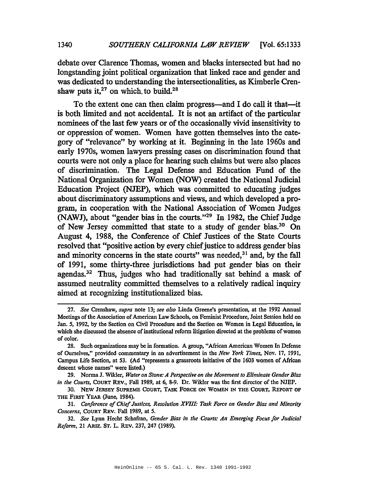debate over Clarence Thomas, women and blacks intersected but had no longstanding joint political organization that linked race and gender and was dedicated to understanding the intersectionalities, as Kimberle Crenshaw puts it, $27$  on which, to build. $28$ 

To the extent one can then claim progress-and I do call it that-it is both limited and not accidental. It is not an artifact of the particular nominees of the last few years or of the occasionally vivid insensitivity to or oppression of women. Women have gotten themselves into the category of "relevance" by working at it. Beginning in the late 1960s and early 1970s, women lawyers pressing cases on discrimination found that courts were not only a place for hearing such claims but were also places of discrimination. The Legal Defense and Education Fund of the National Organization for Women (NOW) created the National Judicial Education Project (NJEP), which was committed to educating judges about discriminatory assumptions and views, and which developed a program, in cooperation with the National Association of Women Judges (NAWJ), about "gender bias in the courts."<sup>29</sup> In 1982, the Chief Judge of New Jersey committed that state to a study of gender bias.<sup>30</sup> On August 4, 1988, the Conference of Chief Justices of the State Courts resolved that "positive action by every chief justice to address gender bias and minority concerns in the state courts" was needed, $31$  and, by the fall of 1991, some thirty-three jurisdictions had put gender bias on their agendas.<sup>32</sup> Thus, judges who had traditionally sat behind a mask of assumed neutrality committed themselves to a relatively radical inquiry aimed at recognizing institutionalized bias.

*<sup>27.</sup> See* Crenshaw, *supra* note 13; *see also* Linda Greene's presentation, at the 1992 Annual Meetings of the Association of American Law Schools, on Feminist Procedure, Joint Session held on Jan. 5, 1992, by the Section on Civil Procedure and the Section on Women in Legal Education, in which she discussed the absence of institutional reform litigation directed at the problems of women of color.

<sup>28.</sup> Such organizations may be in formation. A group, "African American Women In Defense of Ourselves," provided commentary in an advertisement in the *New York Times,* Nov. 17, 1991, Campus Life Section, at 53. (Ad "represents a grassroots initiative of the 1603 women of African descent whose names" were listed.)

<sup>29.</sup> Norma J. Wilder, *Water on Stone: A Perspective on the Movement to Eliminate Gender Bias in the Courts,* CoURT REv., Fall 1989, at 6, 8-9. Dr. Wilder was the first director of the NJEP.

<sup>30.</sup> NEW JERSEY SUPREME CoURT, TASK FORCE ON WOMEN IN THE COURT, REpORT OF THE FIRST YEAR (June, 1984).

<sup>31.</sup> *Conference ofChiefJustices, Resolution XVIII: Task Force on Gender Bias and Minority Concerns,* CoURT REv. Fall 1989, at 5.

*<sup>32.</sup> See* Lynn Hecht Schafran, *Gender Bias in the Courts: An Emerging Focus for Judicial Reform,* 21 ARIZ. ST. L. REv. 237, 247 (1989).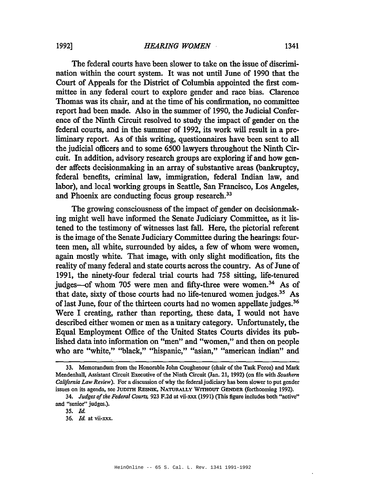The federal courts have been slower to take on the issue of discrimination within the court system. It was not until June of 1990 that the Court of Appeals for the District of Columbia appointed the first committee in any federal court to explore gender and race bias. Clarence Thomas was its chair, and at the time of his confirmation, no committee report had been made. Also in the summer of 1990, the Judicial Conference of the Ninth Circuit resolved to study the impact of gender on the federal courts, and in the summer of 1992, its work will result in a preliminary report. As of this writing, questionnaires have been sent to all the judicial officers and to some 6500 lawyers throughout the Ninth Circuit. In addition, advisory research groups are exploring if and how gender affects decisionmaking in an array of substantive areas (bankruptcy, federal benefits, criminal law, immigration, federal Indian law, and labor), and local working groups in Seattle, San Francisco, Los Angeles, and Phoenix are conducting focus group research.<sup>33</sup>

The growing consciousness of the impact of gender on decisionmaking might well have informed the Senate Judiciary Committee, as it listened to the testimony of witnesses last fall. Here, the pictorial referent is the image of the Senate Judiciary Committee during the hearings: fourteen men, all white, surrounded by aides, a few of whom were women, again mostly white. That image, with only slight modification, fits the reality of many federal and state courts across the country. As of June of 1991, the ninety-four federal trial courts had 758 sitting, life-tenured judges-of whom 705 were men and fifty-three were women.<sup>34</sup> As of that date, sixty of those courts had no life-tenured women judges.3s As of last June, four of the thirteen courts had no women appellate judges.<sup>36</sup> Were I creating, rather than reporting, these data, I would not have described either women or men as a unitary category. Unfortunately, the Equal Employment Office of the United States Courts divides its published data into information on "men" and "women," and then on people who are "white," "black," "hispanic," "asian," "american indian" and

<sup>33.</sup> Memorandum from the Honorable John Coughenour (chair ofthe Task Force) and Mark Mendenhall, Assistant Circuit Executive of the Ninth Circuit (Jan. 21, 1992) (on file with *Southern California Law Review*). For a discussion of why the federal judiciary has been slower to put gender issues on its agenda, see JUDITH REsNIK, NATURALLY WITHOUT GENDER (forthcoming 1992).

*<sup>34.</sup> Judges ofthe Federal Courts.* 923 F.2d at vii-xxx (1991) (This figure includes both "active" and "senior" judges.).

*<sup>35.</sup> ld.*

*<sup>36.</sup> ld.* at vii-xxx.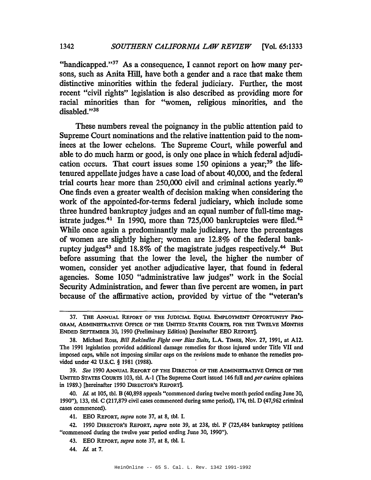"handicapped."<sup>37</sup> As a consequence, I cannot report on how many persons, such as Anita Hill, have both a gender and a race that make them distinctive minorities within the federal judiciary. Further, the most recent "civil rights" legislation is also described as providing more for racial minorities than for "women, religious minorities, and the disabled."38

These numbers reveal the poignancy in the public attention paid to Supreme Court nominations and the relative inattention paid to the nominees at the lower echelons. The Supreme Court, while powerful and able to do much harm or good, is only one place in which federal adjudication occurs. That court issues some  $150$  opinions a year;<sup>39</sup> the lifetenured appellate judges have a case load of about 40,000, and the federal trial courts hear more than 250,000 civil and criminal actions yearly.40 One finds even a greater wealth of decision making when considering the work of the appointed-for-terms federal judiciary, which include some three hundred bankruptcy judges and an equal number of full-time magistrate judges.<sup>41</sup> In 1990, more than 725,000 bankruptcies were filed.<sup>42</sup> While once again a predominantly male judiciary, here the percentages of women are slightly higher; women are 12.8% of the federal bankruptcy judges<sup>43</sup> and 18.8% of the magistrate judges respectively.<sup>44</sup> But before assuming that the lower the level, the higher the number of women, consider yet another adjudicative layer, that found in federal agencies. Some 1050 "administrative law judges" work in the Social Security Administration, and fewer than five percent are women, in part because of the affirmative action, provided by virtue of the "veteran's

*44. Id.* at 7.

<sup>37.</sup> THE ANNuAL REPORT OF THE JUDICIAL EQUAL EMPLOYMENT OPPORTUNITY PRO-GRAM, ADMINISfRATIVE OFFICE OF THE UNITED STATES COURTS, FOR THE TwELVE MONTHS ENDED SEPTEMBER 30, 1990 (preliminary Edition) [hereinafter EEO REpORT].

<sup>38.</sup> Michael Ross, *Bill Rekindles Fight over Bias Suits,* L.A. TIMES, Nov. 27, 1991, at A12. The 1991 legislation provided additional damage remedies for those injured under Title VII and imposed caps, while not imposing similar caps on the revisions made to enhance the remedies provided under 42 U.S.C. § 1981 (1988).

*<sup>39.</sup> See* 1990 ANNUAL REPORT OF THE DIRECTOR OF THE ADMINISTRATIVE OFFICE OF THB UNITED STATES CoURTS 103, tbI. A-I (The Supreme Court issued 146 full and *per curiam* opinions in 1989.) [hereinafter 1990 DIRECTOR'S REPORT].

*<sup>40.</sup> Id.* at 105, tbI. B (40,898 appeals "commenced during twelve month period ending June 30, 1990"), 133, tbI. C (217,879 civil cases commenced during same period), 174, tbI. D (47,962 criminal cases commenced).

<sup>41.</sup> EEO REpORT, *supra* note 37, at 8, tbI. I.

<sup>42.</sup> 1990 DIRECTOR'S REpORT, *supra* note 39, at 238, tbI. F (725,484 bankruptcy petitions "commenced during the twelve year period ending June 30, 1990").

<sup>43.</sup> EEO REPORT, *supra* note 37, at 8, tbI. I.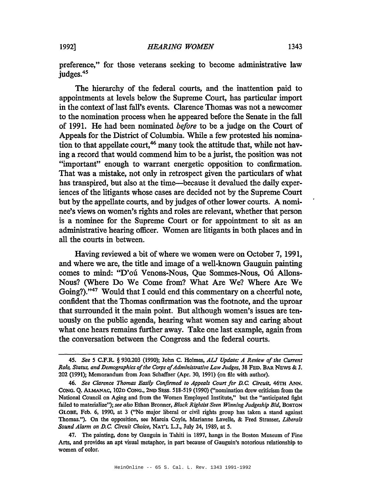preference," for those veterans seeking to become administrative law judges.<sup>45</sup>

The hierarchy of the federal courts, and the inattention paid to appointments at levels below the Supreme Court, has particular import in the context of last fall's events. Clarence Thomas was not a newcomer to the nomination process when he appeared before the Senate in the fall of 1991. He had been nominated *before* to be a judge on the Court of Appeals for the District of Columbia. While a few protested his nomination to that appellate court,<sup>46</sup> many took the attitude that, while not having a record that would commend him to be a jurist, the position was not "important" enough to warrant energetic opposition to confirmation. That was a mistake, not only in retrospect given the particulars of what has transpired, but also at the time-because it devalued the daily experiences of the litigants whose cases are decided not by the Supreme Court but by the appellate courts, and by judges of other lower courts. A nominee's views on women's rights and roles are relevant, whether that person is a nominee for the Supreme Court or for appointment to sit as an administrative hearing officer. Women are litigants in both places and in all the courts in between.

Having reviewed a bit of where we women were on October 7, 1991, and where we are, the title and image of a well-known Gauguin painting comes to mind: "D'ou Venons-Nous, Que Sommes-Nous, Ou. Allons-Nous? (Where Do We Come from? What Are We? Where Are We Going?)."47 Would that I could end this commentary on a cheerful note, confident that the Thomas confirmation was the footnote, and the uproar that surrounded it the main point. But although women's issues are tenuously on the public agenda, hearing what women say and caring about what one hears remains further away. Take one last example, again from the conversation between the Congress and the federal courts.

*<sup>45.</sup> See* 5 C.F.R. § 930.203 (1990); John C. Holmes, *AU Update: A Review of the Current Role, Status, and Demographics ofthe Corps ofAdministrative Law Judges,* 38 FED. BAR NEWS & J. 202 (1991); Memorandum from Joan Schaffuer (Apr. 30, 1991) (on file with author).

*<sup>46.</sup> See Clarence Thomas Easily Confirmed to Appeals Court for D.C. Circuit,* 46m ANN. CoNG. Q. ALMANAC, 1020 CoNG., 2ND SESS. 518-519 (1990) ("nomination drew criticism from the National Council on Aging and from the Women Employed Institute," but the "anticipated fight failed to materialize"); *see also* Ethan Bronner, *Black Rightist Seen Winning Judgeship Bid,* BOSTON GLOBE, Feb. 6, 1990, at 3 ("No major liberal or civil rights group has taken a stand against Thomas."). On the opposition, see Marcia Coyle, Marianne Lavelle, & Fred Strasser, *Liberals Sound Alarm on D.C. Circuit Choice,* NAT'L L.J., July 24, 1989, at 5.

<sup>47.</sup> The painting, done by Gauguin in Tahiti in 1897, hangs in the Boston Museum of Fine Arts, and provides an apt visual metaphor, in part because of Gauguin's notorious relationship to women of color.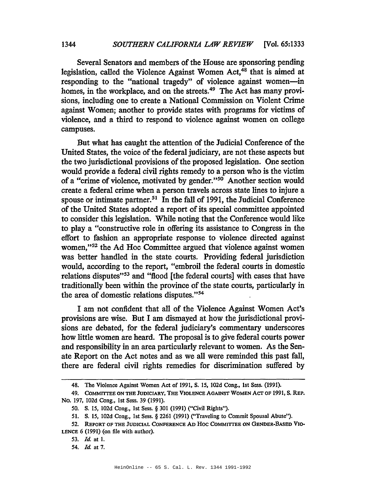Several Senators and members of the House are sponsoring pending legislation, called the Violence Against Women Act,<sup>48</sup> that is aimed at responding to the "national tragedy" of violence against women--in homes, in the workplace, and on the streets.<sup>49</sup> The Act has many provisions, including one to create a National Commission on Violent Crime against Women; another to provide states with programs for victims of violence, and a third to respond to violence against women on college campuses.

But what has caught the attention of the Judicial Conference of the United States, the voice of the federal judiciary, are not these aspects but the two jurisdictional provisions of the proposed legislation. One section would provide a federal civil rights remedy to a person who is the victim of a "crime of violence, motivated by gender."<sup>50</sup> Another section would create a federal crime when a person travels across state lines to injure a spouse or intimate partner.<sup>51</sup> In the fall of 1991, the Judicial Conference of the United States adopted a report of its special committee appointed to consider this legislation. While noting that the Conference would like to play a "constructive role in offering its assistance to Congress in the effort to fashion an appropriate response to violence directed against women,"<sup>52</sup> the Ad Hoc Committee argued that violence against women was better handled in the state courts. Providing federal jurisdiction would, according to the report, "embroil the federal courts in domestic relations disputes"<sup>53</sup> and "flood [the federal courts] with cases that have traditionally been within the province of the state courts, particularly in the area of domestic relations disputes."<sup>54</sup>

I am not confident that all of the Violence Against Women Act's provisions are wise. But I am dismayed at how the jurisdictional provisions are debated, for the federal judiciary's commentary underscores how little women are heard. The proposal is to give federal courts power and responsibility in an area particularly relevant to women. As the Senate Report on the Act notes and as we all were reminded this past fall, there are federal civil rights remedies for discrimination suffered by

<sup>48.</sup> The Violence Against Women Act of 1991, S. IS, 102d Cong., 1st Sess. (1991).

<sup>49.</sup> CoMMfITEE ON THE JUDICIARY, THE VIOLENCE AGAINST WOMEN ACT OF 1991, S. REP. No. 197, 102d Cong., 1st Sess. 39 (1991).

SO. S. IS, 102d Cong., 1st Sess. § 301 (1991) ("Civil Rights").

<sup>51.</sup> S. IS, 102d Cong., 1st Sess. § 2261 (1991) ("Traveling to Commit Spousal Abuse").

<sup>52.</sup> REpORT OF THE JUDICIAL CONFERENCE AD Hoc COMMfITEE ON GENDER-BASED VIO-LENCE 6 (1991) (on file with author).

*<sup>53.</sup> Id.* at 1.

*<sup>54.</sup> Id.* at 7.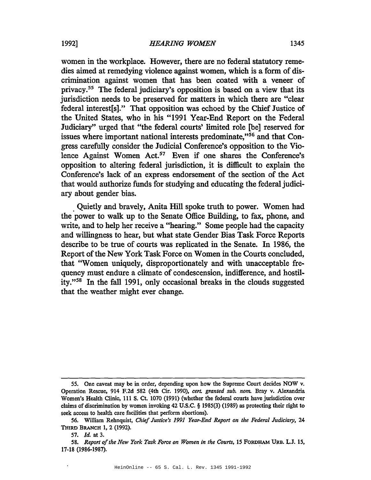women in the workplace. However, there are no federal statutory remedies aimed at remedying violence against women, which is a form of discrimination against women that has been coated with a veneer of privacy.55 The federal judiciary's opposition is based on a view that its jurisdiction needs to be preserved for matters in which there are "clear federal interest[s]." That opposition was echoed by the Chief Justice of the United States, who in his "1991 Year-End Report on the Federal Judiciary" urged that "the federal courts' limited role [be] reserved for issues where important national interests predominate,"56 and that Congress carefully consider the Judicial Conference's opposition to the Violence Against Women Act.57 Even if one shares the Conference's opposition to altering federal jurisdiction, it is difficult to explain the Conference's lack of an express endorsement of the section of the Act that would authorize funds for studying and educating the federal judiciary about gender bias.

. Quietly and bravely, Anita Hill spoke truth to power. Women had the power to walk up to the Senate Office Building, to fax, phone, and write, and to help her receive a "hearing." Some people had the capacity and willingness to hear, but what state Gender Bias Task Force Reports describe to be true of courts was replicated in the Senate. In 1986, the Report of the New York Task Force on Women in the Courts concluded, that "Women uniquely, disproportionately and with unacceptable frequency must endure a climate of condescension, indifference, and hostility."58 In the fall 1991, only occasional breaks in the clouds suggested that the weather might ever change.

 $\overline{a}$ 

<sup>55.</sup> One caveat may be in order, depending upon how the Supreme Court decides NOW v. Operation Rescue, 914 F.2d 582 (4th Cir. 1990), *cert. granted sub. nom.* Bray v. Alexandria Women's Health Clinic, 111 S. Ct. 1070 (1991) (whether the federal courts have jurisdiction over claims of discrimination by women invoking 42 U.S.C. § 1985(3) (1989) as protecting their right to seek access to health care facilities that perform abortions).

<sup>56.</sup> William Rehnquist, *Chief Justice's* 1991 *Year-End Report on the Federal Judiciary,* 24 THIRD BRANCH 1, 2 (1992).

*<sup>57.</sup> Id.* at 3.

*<sup>58.</sup> Report ofthe New York Task Force on Women in the Courts,* 15 FORDHAM URB. L.J. 15, 17-18 (1986-1987). .